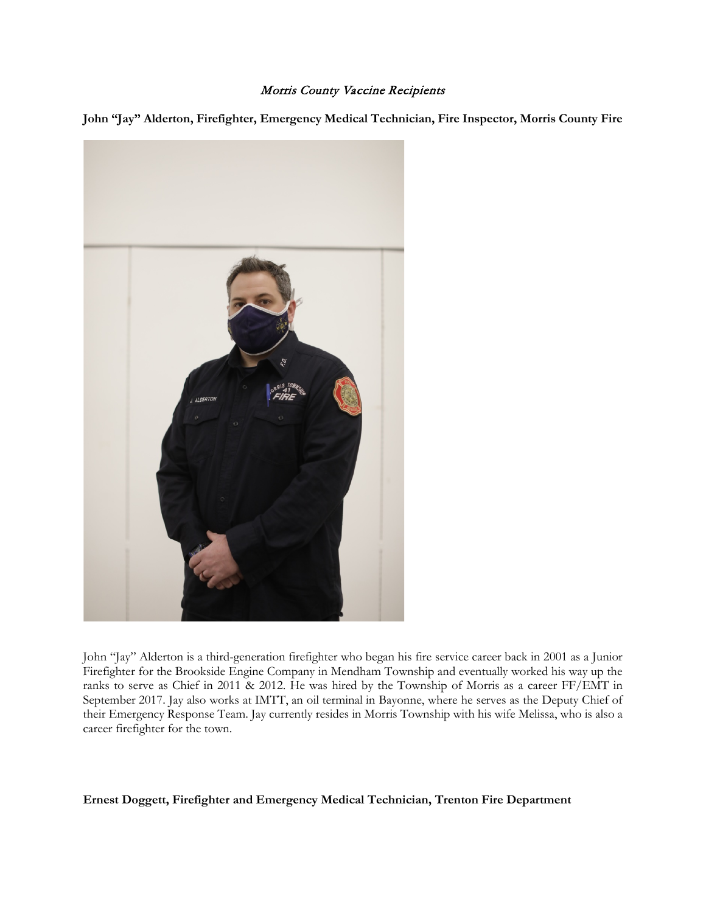## Morris County Vaccine Recipients

**John "Jay" Alderton, Firefighter, Emergency Medical Technician, Fire Inspector, Morris County Fire**



John "Jay" Alderton is a third-generation firefighter who began his fire service career back in 2001 as a Junior Firefighter for the Brookside Engine Company in Mendham Township and eventually worked his way up the ranks to serve as Chief in 2011 & 2012. He was hired by the Township of Morris as a career FF/EMT in September 2017. Jay also works at IMTT, an oil terminal in Bayonne, where he serves as the Deputy Chief of their Emergency Response Team. Jay currently resides in Morris Township with his wife Melissa, who is also a career firefighter for the town.

## **Ernest Doggett, Firefighter and Emergency Medical Technician, Trenton Fire Department**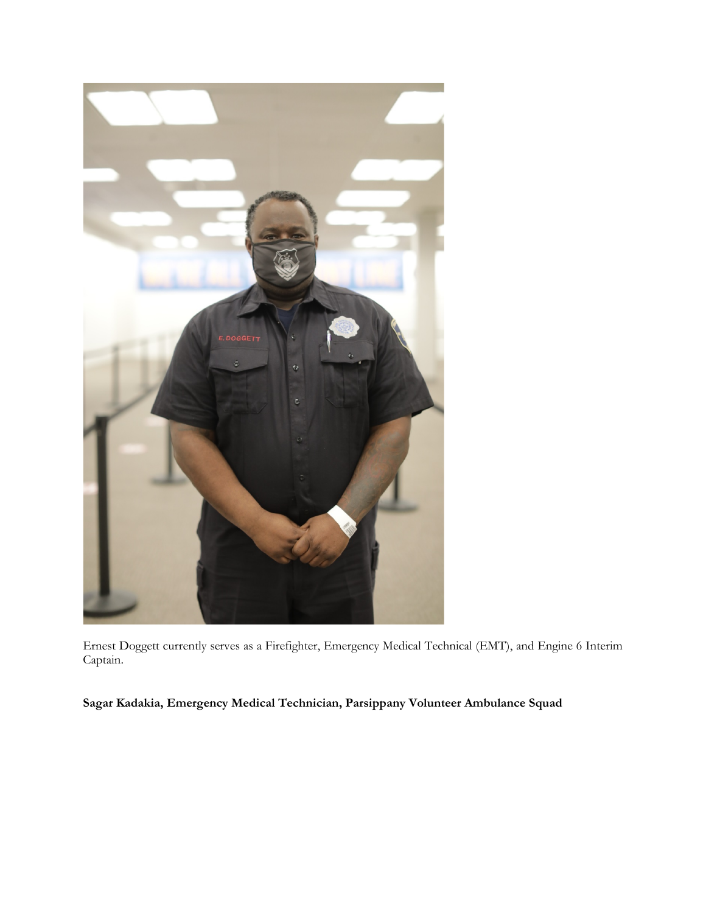

Ernest Doggett currently serves as a Firefighter, Emergency Medical Technical (EMT), and Engine 6 Interim Captain.

**Sagar Kadakia, Emergency Medical Technician, Parsippany Volunteer Ambulance Squad**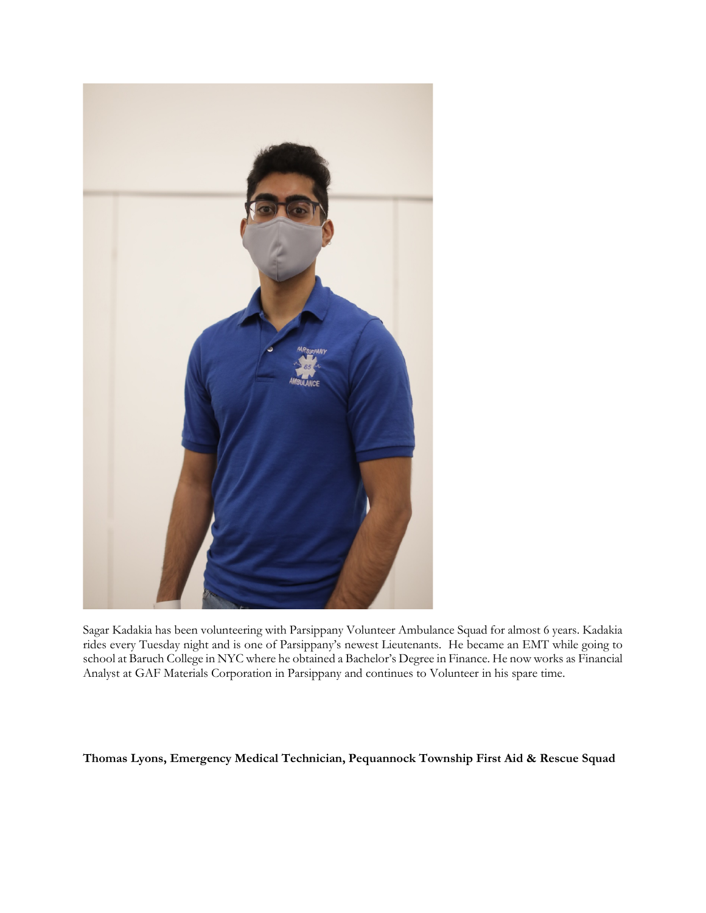

Sagar Kadakia has been volunteering with Parsippany Volunteer Ambulance Squad for almost 6 years. Kadakia rides every Tuesday night and is one of Parsippany's newest Lieutenants. He became an EMT while going to school at Baruch College in NYC where he obtained a Bachelor's Degree in Finance. He now works as Financial Analyst at GAF Materials Corporation in Parsippany and continues to Volunteer in his spare time.

## **Thomas Lyons, Emergency Medical Technician, Pequannock Township First Aid & Rescue Squad**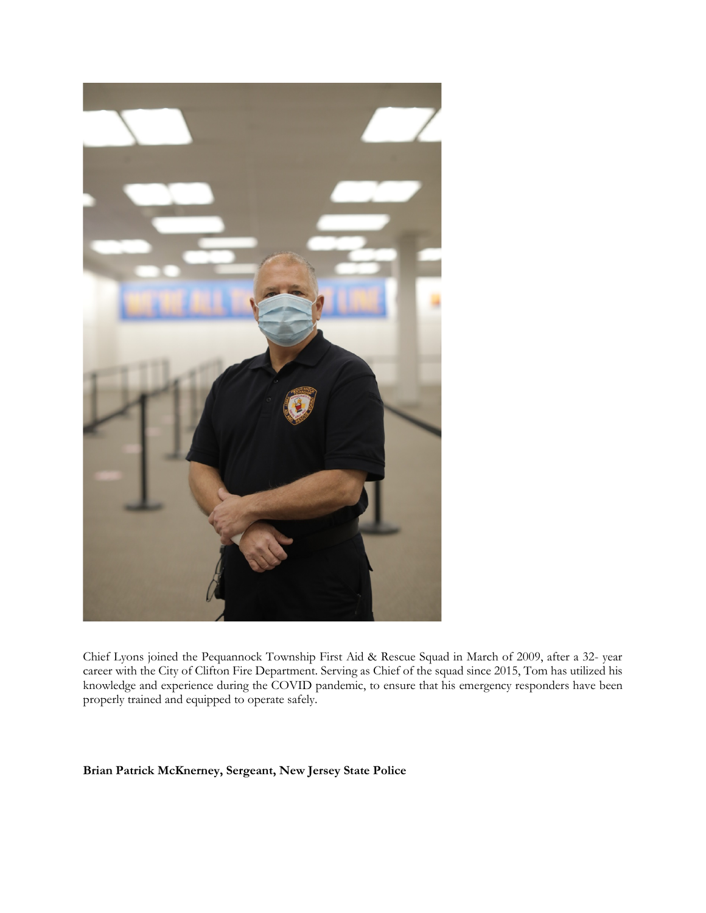

Chief Lyons joined the Pequannock Township First Aid & Rescue Squad in March of 2009, after a 32- year career with the City of Clifton Fire Department. Serving as Chief of the squad since 2015, Tom has utilized his knowledge and experience during the COVID pandemic, to ensure that his emergency responders have been properly trained and equipped to operate safely.

**Brian Patrick McKnerney, Sergeant, New Jersey State Police**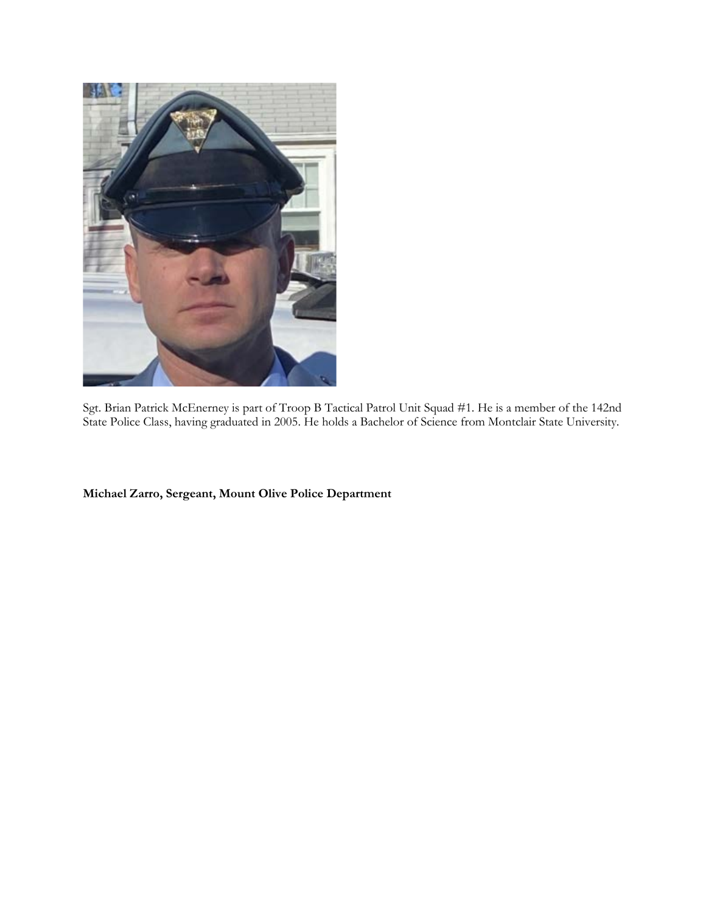

Sgt. Brian Patrick McEnerney is part of Troop B Tactical Patrol Unit Squad #1. He is a member of the 142nd State Police Class, having graduated in 2005. He holds a Bachelor of Science from Montclair State University.

**Michael Zarro, Sergeant, Mount Olive Police Department**